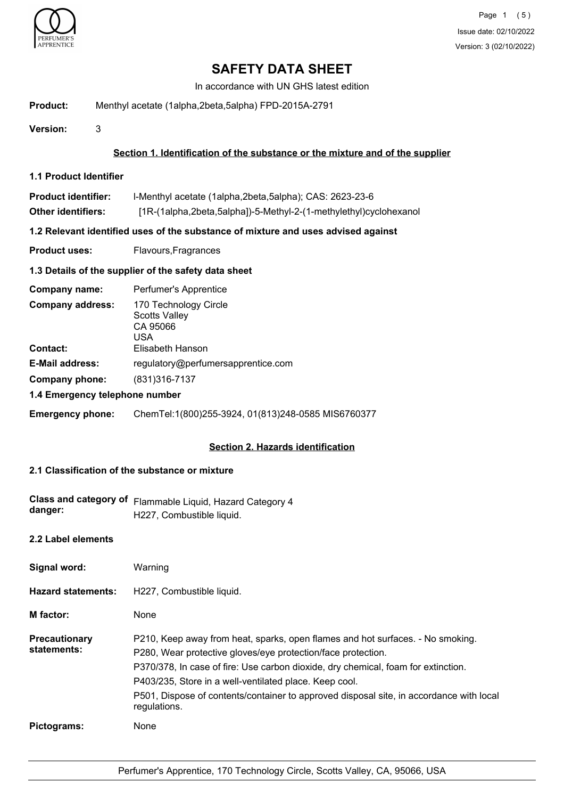

In accordance with UN GHS latest edition

**Product:** Menthyl acetate (1alpha,2beta,5alpha) FPD-2015A-2791

**Version:** 3

# **Section 1. Identification of the substance or the mixture and of the supplier**

**1.1 Product Identifier**

| <b>Product identifier:</b> | I-Menthyl acetate (1alpha, 2beta, 5alpha); CAS: 2623-23-6         |
|----------------------------|-------------------------------------------------------------------|
| <b>Other identifiers:</b>  | [1R-(1alpha,2beta,5alpha])-5-Methyl-2-(1-methylethyl)cyclohexanol |

# **1.2 Relevant identified uses of the substance of mixture and uses advised against**

**Product uses:** Flavours, Fragrances

# **1.3 Details of the supplier of the safety data sheet**

| Company name:                  | Perfumer's Apprentice                                            |
|--------------------------------|------------------------------------------------------------------|
| <b>Company address:</b>        | 170 Technology Circle<br><b>Scotts Valley</b><br>CA 95066<br>USA |
| <b>Contact:</b>                | Elisabeth Hanson                                                 |
| <b>E-Mail address:</b>         | regulatory@perfumersapprentice.com                               |
| Company phone:                 | (831) 316-7137                                                   |
| 1.4 Emergency telephone number |                                                                  |

**Emergency phone:** ChemTel:1(800)255-3924, 01(813)248-0585 MIS6760377

# **Section 2. Hazards identification**

# **2.1 Classification of the substance or mixture**

| <b>Class and category of</b><br>danger: | Flammable Liquid, Hazard Category 4<br>H227, Combustible liquid.                                                                                                                                                                                                                                                                                                                                         |
|-----------------------------------------|----------------------------------------------------------------------------------------------------------------------------------------------------------------------------------------------------------------------------------------------------------------------------------------------------------------------------------------------------------------------------------------------------------|
| 2.2 Label elements                      |                                                                                                                                                                                                                                                                                                                                                                                                          |
| Signal word:                            | Warning                                                                                                                                                                                                                                                                                                                                                                                                  |
| <b>Hazard statements:</b>               | H227, Combustible liquid.                                                                                                                                                                                                                                                                                                                                                                                |
| <b>M</b> factor:                        | None                                                                                                                                                                                                                                                                                                                                                                                                     |
| <b>Precautionary</b><br>statements:     | P210, Keep away from heat, sparks, open flames and hot surfaces. - No smoking.<br>P280, Wear protective gloves/eye protection/face protection.<br>P370/378, In case of fire: Use carbon dioxide, dry chemical, foam for extinction.<br>P403/235, Store in a well-ventilated place. Keep cool.<br>P501, Dispose of contents/container to approved disposal site, in accordance with local<br>regulations. |
| Pictograms:                             | None                                                                                                                                                                                                                                                                                                                                                                                                     |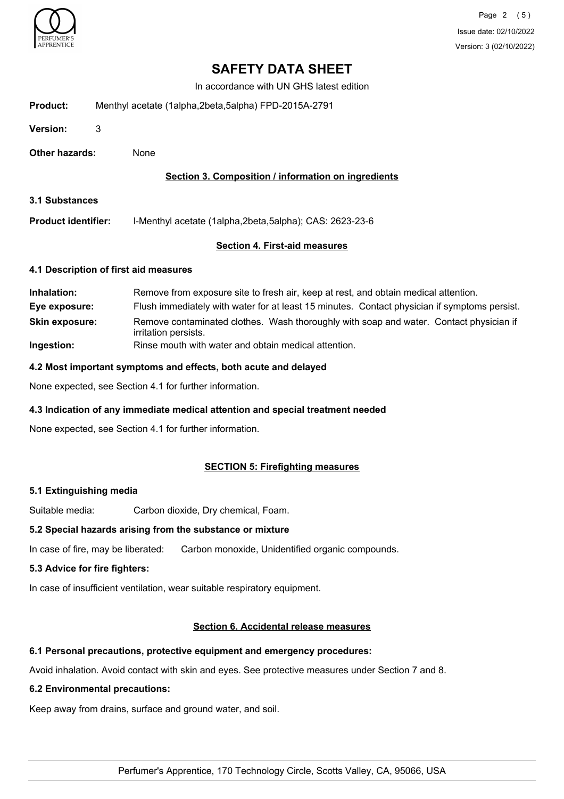

In accordance with UN GHS latest edition

| Product: | Menthyl acetate (1alpha,2beta,5alpha) FPD-2015A-2791 |  |
|----------|------------------------------------------------------|--|
|          |                                                      |  |

**Version:** 3

**Other hazards:** None

## **Section 3. Composition / information on ingredients**

**3.1 Substances**

**Product identifier:** l-Menthyl acetate (1alpha,2beta,5alpha); CAS: 2623-23-6

## **Section 4. First-aid measures**

#### **4.1 Description of first aid measures**

| Inhalation:           | Remove from exposure site to fresh air, keep at rest, and obtain medical attention.                            |
|-----------------------|----------------------------------------------------------------------------------------------------------------|
| Eye exposure:         | Flush immediately with water for at least 15 minutes. Contact physician if symptoms persist.                   |
| <b>Skin exposure:</b> | Remove contaminated clothes. Wash thoroughly with soap and water. Contact physician if<br>irritation persists. |
| Ingestion:            | Rinse mouth with water and obtain medical attention.                                                           |

#### **4.2 Most important symptoms and effects, both acute and delayed**

None expected, see Section 4.1 for further information.

## **4.3 Indication of any immediate medical attention and special treatment needed**

None expected, see Section 4.1 for further information.

## **SECTION 5: Firefighting measures**

## **5.1 Extinguishing media**

Suitable media: Carbon dioxide, Dry chemical, Foam.

## **5.2 Special hazards arising from the substance or mixture**

In case of fire, may be liberated: Carbon monoxide, Unidentified organic compounds.

## **5.3 Advice for fire fighters:**

In case of insufficient ventilation, wear suitable respiratory equipment.

## **Section 6. Accidental release measures**

## **6.1 Personal precautions, protective equipment and emergency procedures:**

Avoid inhalation. Avoid contact with skin and eyes. See protective measures under Section 7 and 8.

## **6.2 Environmental precautions:**

Keep away from drains, surface and ground water, and soil.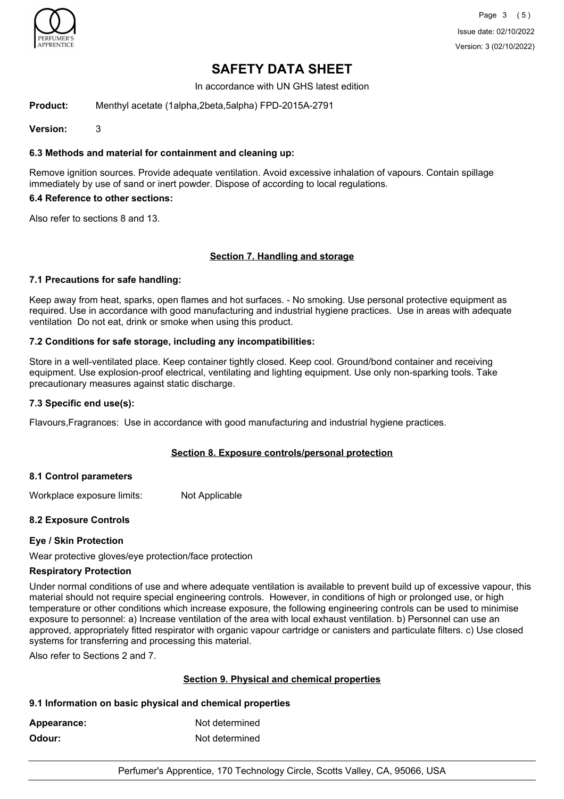

In accordance with UN GHS latest edition

**Product:** Menthyl acetate (1alpha,2beta,5alpha) FPD-2015A-2791

**Version:** 3

# **6.3 Methods and material for containment and cleaning up:**

Remove ignition sources. Provide adequate ventilation. Avoid excessive inhalation of vapours. Contain spillage immediately by use of sand or inert powder. Dispose of according to local regulations.

#### **6.4 Reference to other sections:**

Also refer to sections 8 and 13.

## **Section 7. Handling and storage**

## **7.1 Precautions for safe handling:**

Keep away from heat, sparks, open flames and hot surfaces. - No smoking. Use personal protective equipment as required. Use in accordance with good manufacturing and industrial hygiene practices. Use in areas with adequate ventilation Do not eat, drink or smoke when using this product.

## **7.2 Conditions for safe storage, including any incompatibilities:**

Store in a well-ventilated place. Keep container tightly closed. Keep cool. Ground/bond container and receiving equipment. Use explosion-proof electrical, ventilating and lighting equipment. Use only non-sparking tools. Take precautionary measures against static discharge.

#### **7.3 Specific end use(s):**

Flavours,Fragrances: Use in accordance with good manufacturing and industrial hygiene practices.

## **Section 8. Exposure controls/personal protection**

## **8.1 Control parameters**

Workplace exposure limits: Not Applicable

## **8.2 Exposure Controls**

## **Eye / Skin Protection**

Wear protective gloves/eye protection/face protection

## **Respiratory Protection**

Under normal conditions of use and where adequate ventilation is available to prevent build up of excessive vapour, this material should not require special engineering controls. However, in conditions of high or prolonged use, or high temperature or other conditions which increase exposure, the following engineering controls can be used to minimise exposure to personnel: a) Increase ventilation of the area with local exhaust ventilation. b) Personnel can use an approved, appropriately fitted respirator with organic vapour cartridge or canisters and particulate filters. c) Use closed systems for transferring and processing this material.

Also refer to Sections 2 and 7.

## **Section 9. Physical and chemical properties**

## **9.1 Information on basic physical and chemical properties**

| Appearance: | Not determined |
|-------------|----------------|
| Odour:      | Not determined |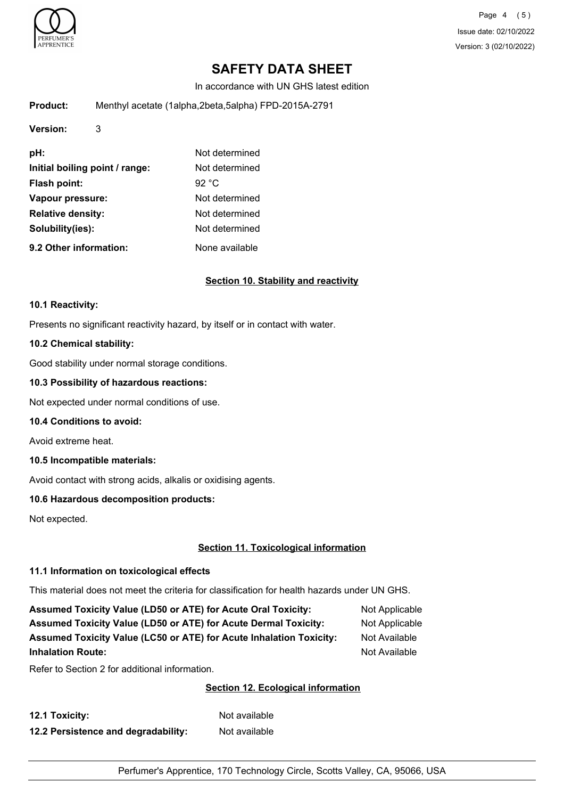

Page 4 (5) Issue date: 02/10/2022 Version: 3 (02/10/2022)

# **SAFETY DATA SHEET**

In accordance with UN GHS latest edition

| Product: | Menthyl acetate (1alpha,2beta,5alpha) FPD-2015A-2791 |  |
|----------|------------------------------------------------------|--|
|          |                                                      |  |

| Version:                       | 3 |                 |
|--------------------------------|---|-----------------|
| pH:                            |   | Not determined  |
| Initial boiling point / range: |   | Not determined  |
| <b>Flash point:</b>            |   | 92 $^{\circ}$ C |
| Vapour pressure:               |   | Not determined  |
| <b>Relative density:</b>       |   | Not determined  |
| Solubility(ies):               |   | Not determined  |
| 9.2 Other information:         |   | None available  |

## **Section 10. Stability and reactivity**

#### **10.1 Reactivity:**

Presents no significant reactivity hazard, by itself or in contact with water.

#### **10.2 Chemical stability:**

Good stability under normal storage conditions.

#### **10.3 Possibility of hazardous reactions:**

Not expected under normal conditions of use.

#### **10.4 Conditions to avoid:**

Avoid extreme heat.

## **10.5 Incompatible materials:**

Avoid contact with strong acids, alkalis or oxidising agents.

## **10.6 Hazardous decomposition products:**

Not expected.

# **Section 11. Toxicological information**

## **11.1 Information on toxicological effects**

This material does not meet the criteria for classification for health hazards under UN GHS.

| <b>Assumed Toxicity Value (LD50 or ATE) for Acute Oral Toxicity:</b>       | Not Applicable |
|----------------------------------------------------------------------------|----------------|
| <b>Assumed Toxicity Value (LD50 or ATE) for Acute Dermal Toxicity:</b>     | Not Applicable |
| <b>Assumed Toxicity Value (LC50 or ATE) for Acute Inhalation Toxicity:</b> | Not Available  |
| <b>Inhalation Route:</b>                                                   | Not Available  |

Refer to Section 2 for additional information.

## **Section 12. Ecological information**

| 12.1 Toxicity:                      | Not available |
|-------------------------------------|---------------|
| 12.2 Persistence and degradability: | Not available |